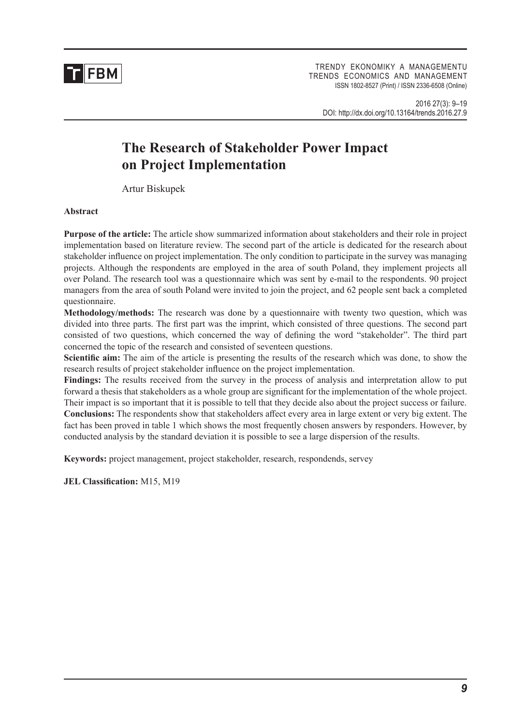

TRENDY EKONOMIKY A MANAGEMENTU TRENDS ECONOMICS AND MANAGEMENT ISSN 1802-8527 (Print) / ISSN 2336-6508 (Online)

2016 27(3): 9–19 DOI: http://dx.doi.org/10.13164/trends.2016.27.9

# **The Research of Stakeholder Power Impact on Project Implementation**

Artur Biskupek

#### **Abstract**

**Purpose of the article:** The article show summarized information about stakeholders and their role in project implementation based on literature review. The second part of the article is dedicated for the research about stakeholder influence on project implementation. The only condition to participate in the survey was managing projects. Although the respondents are employed in the area of south Poland, they implement projects all over Poland. The research tool was a questionnaire which was sent by e-mail to the respondents. 90 project managers from the area of south Poland were invited to join the project, and 62 people sent back a completed questionnaire.

**Methodology/methods:** The research was done by a questionnaire with twenty two question, which was divided into three parts. The first part was the imprint, which consisted of three questions. The second part consisted of two questions, which concerned the way of defining the word "stakeholder". The third part concerned the topic of the research and consisted of seventeen questions.

**Scientific aim:** The aim of the article is presenting the results of the research which was done, to show the research results of project stakeholder influence on the project implementation.

**Findings:** The results received from the survey in the process of analysis and interpretation allow to put forward a thesis that stakeholders as a whole group are significant for the implementation of the whole project. Their impact is so important that it is possible to tell that they decide also about the project success or failure. **Conclusions:** The respondents show that stakeholders affect every area in large extent or very big extent. The fact has been proved in table 1 which shows the most frequently chosen answers by responders. However, by conducted analysis by the standard deviation it is possible to see a large dispersion of the results.

**Keywords:** project management, project stakeholder, research, respondends, servey

**JEL Classification:** M15, M19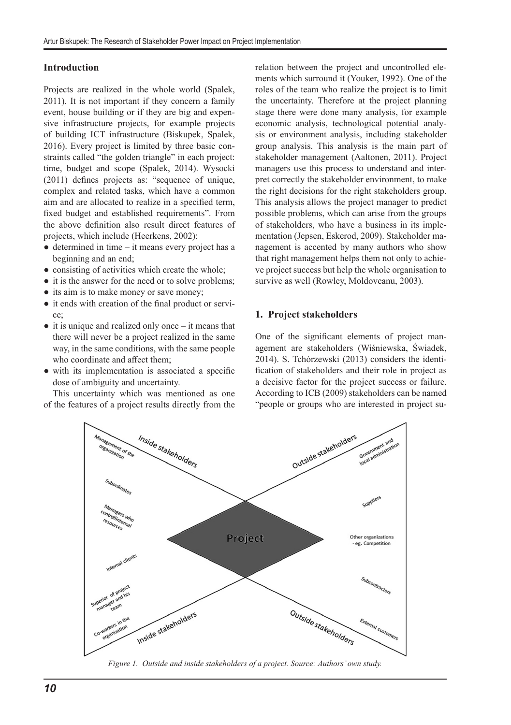## **Introduction**

Projects are realized in the whole world (Spalek, 2011). It is not important if they concern a family event, house building or if they are big and expensive infrastructure projects, for example projects of building ICT infrastructure (Biskupek, Spalek, 2016). Every project is limited by three basic constraints called "the golden triangle" in each project: time, budget and scope (Spalek, 2014). Wysocki (2011) defines projects as: "sequence of unique, complex and related tasks, which have a common aim and are allocated to realize in a specified term, fixed budget and established requirements". From the above definition also result direct features of projects, which include (Heerkens, 2002):

- determined in time it means every project has a beginning and an end;
- consisting of activities which create the whole;
- it is the answer for the need or to solve problems;
- its aim is to make money or save money;
- it ends with creation of the final product or service;
- $\bullet$  it is unique and realized only once it means that there will never be a project realized in the same way, in the same conditions, with the same people who coordinate and affect them;
- with its implementation is associated a specific dose of ambiguity and uncertainty.

This uncertainty which was mentioned as one of the features of a project results directly from the relation between the project and uncontrolled elements which surround it (Youker, 1992). One of the roles of the team who realize the project is to limit the uncertainty. Therefore at the project planning stage there were done many analysis, for example economic analysis, technological potential analysis or environment analysis, including stakeholder group analysis. This analysis is the main part of stakeholder management (Aaltonen, 2011). Project managers use this process to understand and interpret correctly the stakeholder environment, to make the right decisions for the right stakeholders group. This analysis allows the project manager to predict possible problems, which can arise from the groups of stakeholders, who have a business in its implementation (Jepsen, Eskerod, 2009). Stakeholder management is accented by many authors who show that right management helps them not only to achieve project success but help the whole organisation to survive as well (Rowley, Moldoveanu, 2003).

### **1. Project stakeholders**

One of the significant elements of project management are stakeholders (Wiśniewska, Świadek, 2014). S. Tchórzewski (2013) considers the identification of stakeholders and their role in project as a decisive factor for the project success or failure. According to ICB (2009) stakeholders can be named "people or groups who are interested in project su-



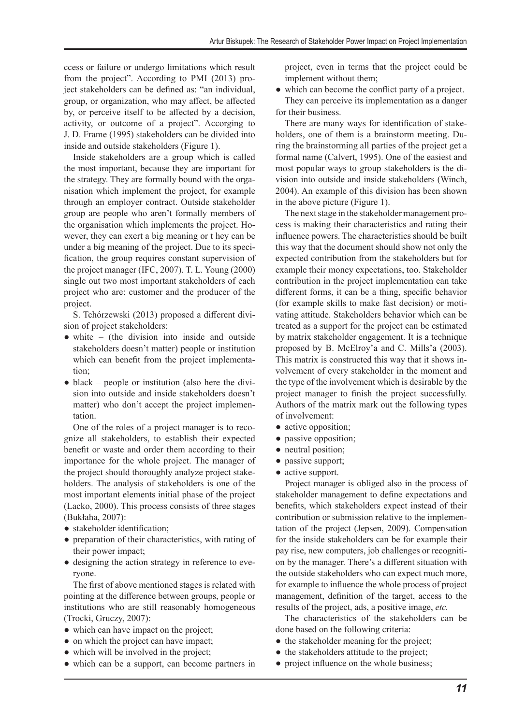ccess or failure or undergo limitations which result from the project". According to PMI (2013) project stakeholders can be defined as: "an individual, group, or organization, who may affect, be affected by, or perceive itself to be affected by a decision, activity, or outcome of a project". Accorging to J. D. Frame (1995) stakeholders can be divided into inside and outside stakeholders (Figure 1).

Inside stakeholders are a group which is called the most important, because they are important for the strategy. They are formally bound with the organisation which implement the project, for example through an employer contract. Outside stakeholder group are people who aren't formally members of the organisation which implements the project. However, they can exert a big meaning or t hey can be under a big meaning of the project. Due to its specification, the group requires constant supervision of the project manager (IFC, 2007). T. L. Young (2000) single out two most important stakeholders of each project who are: customer and the producer of the project.

S. Tchórzewski (2013) proposed a different division of project stakeholders:

- white (the division into inside and outside stakeholders doesn't matter) people or institution which can benefit from the project implementation;
- $\bullet$  black people or institution (also here the division into outside and inside stakeholders doesn't matter) who don't accept the project implementation.

One of the roles of a project manager is to recognize all stakeholders, to establish their expected benefit or waste and order them according to their importance for the whole project. The manager of the project should thoroughly analyze project stakeholders. The analysis of stakeholders is one of the most important elements initial phase of the project (Lacko, 2000). This process consists of three stages (Bukłaha, 2007):

- stakeholder identification;
- preparation of their characteristics, with rating of their power impact;
- designing the action strategy in reference to everyone.

The first of above mentioned stages is related with pointing at the difference between groups, people or institutions who are still reasonably homogeneous (Trocki, Gruczy, 2007):

- which can have impact on the project;
- on which the project can have impact;
- which will be involved in the project;
- which can be a support, can become partners in

project, even in terms that the project could be implement without them;

• which can become the conflict party of a project. They can perceive its implementation as a danger for their business.

There are many ways for identification of stakeholders, one of them is a brainstorm meeting. During the brainstorming all parties of the project get a formal name (Calvert, 1995). One of the easiest and most popular ways to group stakeholders is the division into outside and inside stakeholders (Winch, 2004). An example of this division has been shown in the above picture (Figure 1).

The next stage in the stakeholder management process is making their characteristics and rating their influence powers. The characteristics should be built this way that the document should show not only the expected contribution from the stakeholders but for example their money expectations, too. Stakeholder contribution in the project implementation can take different forms, it can be a thing, specific behavior (for example skills to make fast decision) or motivating attitude. Stakeholders behavior which can be treated as a support for the project can be estimated by matrix stakeholder engagement. It is a technique proposed by B. McElroy'a and C. Mills'a (2003). This matrix is constructed this way that it shows involvement of every stakeholder in the moment and the type of the involvement which is desirable by the project manager to finish the project successfully. Authors of the matrix mark out the following types of involvement:

- active opposition;
- passive opposition;
- neutral position;
- passive support;
- active support.

Project manager is obliged also in the process of stakeholder management to define expectations and benefits, which stakeholders expect instead of their contribution or submission relative to the implementation of the project (Jepsen, 2009). Compensation for the inside stakeholders can be for example their pay rise, new computers, job challenges or recognition by the manager. There's a different situation with the outside stakeholders who can expect much more, for example to influence the whole process of project management, definition of the target, access to the results of the project, ads, a positive image, *etc.*

The characteristics of the stakeholders can be done based on the following criteria:

- the stakeholder meaning for the project;
- the stakeholders attitude to the project;
- project influence on the whole business;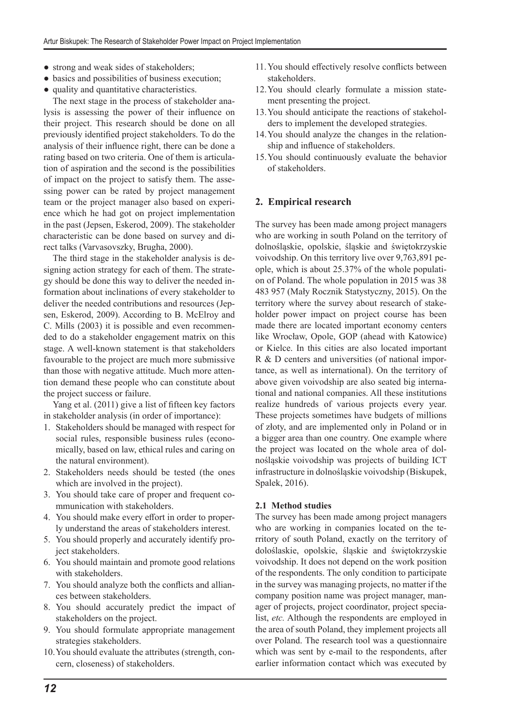- strong and weak sides of stakeholders;
- basics and possibilities of business execution;
- quality and quantitative characteristics.

The next stage in the process of stakeholder analysis is assessing the power of their influence on their project. This research should be done on all previously identified project stakeholders. To do the analysis of their influence right, there can be done a rating based on two criteria. One of them is articulation of aspiration and the second is the possibilities of impact on the project to satisfy them. The assessing power can be rated by project management team or the project manager also based on experience which he had got on project implementation in the past (Jepsen, Eskerod, 2009). The stakeholder characteristic can be done based on survey and direct talks (Varvasovszky, Brugha, 2000).

The third stage in the stakeholder analysis is designing action strategy for each of them. The strategy should be done this way to deliver the needed information about inclinations of every stakeholder to deliver the needed contributions and resources (Jepsen, Eskerod, 2009). According to B. McElroy and C. Mills (2003) it is possible and even recommended to do a stakeholder engagement matrix on this stage. A well-known statement is that stakeholders favourable to the project are much more submissive than those with negative attitude. Much more attention demand these people who can constitute about the project success or failure.

Yang et al. (2011) give a list of fifteen key factors in stakeholder analysis (in order of importance):

- 1. Stakeholders should be managed with respect for social rules, responsible business rules (economically, based on law, ethical rules and caring on the natural environment).
- 2. Stakeholders needs should be tested (the ones which are involved in the project).
- 3. You should take care of proper and frequent communication with stakeholders.
- 4. You should make every effort in order to properly understand the areas of stakeholders interest.
- 5. You should properly and accurately identify project stakeholders.
- 6. You should maintain and promote good relations with stakeholders.
- 7. You should analyze both the conflicts and alliances between stakeholders.
- 8. You should accurately predict the impact of stakeholders on the project.
- 9. You should formulate appropriate management strategies stakeholders.
- 10.You should evaluate the attributes (strength, concern, closeness) of stakeholders.
- 11.You should effectively resolve conflicts between stakeholders.
- 12.You should clearly formulate a mission statement presenting the project.
- 13.You should anticipate the reactions of stakeholders to implement the developed strategies.
- 14.You should analyze the changes in the relationship and influence of stakeholders.
- 15.You should continuously evaluate the behavior of stakeholders.

# **2. Empirical research**

The survey has been made among project managers who are working in south Poland on the territory of dolnośląskie, opolskie, śląskie and świętokrzyskie voivodship. On this territory live over 9,763,891 people, which is about 25.37% of the whole population of Poland. The whole population in 2015 was 38 483 957 (Mały Rocznik Statystyczny, 2015). On the territory where the survey about research of stakeholder power impact on project course has been made there are located important economy centers like Wrocław, Opole, GOP (ahead with Katowice) or Kielce. In this cities are also located important R & D centers and universities (of national importance, as well as international). On the territory of above given voivodship are also seated big international and national companies. All these institutions realize hundreds of various projects every year. These projects sometimes have budgets of millions of złoty, and are implemented only in Poland or in a bigger area than one country. One example where the project was located on the whole area of dolnośląskie voivodship was projects of building ICT infrastructure in dolnośląskie voivodship (Biskupek, Spalek, 2016).

#### **2.1 Method studies**

The survey has been made among project managers who are working in companies located on the territory of south Poland, exactly on the territory of doloślaskie, opolskie, śląskie and świętokrzyskie voivodship. It does not depend on the work position of the respondents. The only condition to participate in the survey was managing projects, no matter if the company position name was project manager, manager of projects, project coordinator, project specialist, *etc.* Although the respondents are employed in the area of south Poland, they implement projects all over Poland. The research tool was a questionnaire which was sent by e-mail to the respondents, after earlier information contact which was executed by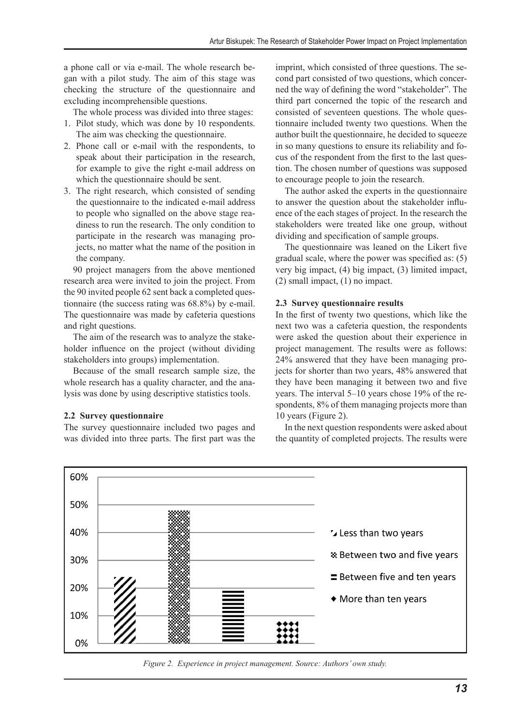a phone call or via e-mail. The whole research began with a pilot study. The aim of this stage was checking the structure of the questionnaire and excluding incomprehensible questions.

The whole process was divided into three stages:

- 1. Pilot study, which was done by 10 respondents. The aim was checking the questionnaire.
- 2. Phone call or e-mail with the respondents, to speak about their participation in the research, for example to give the right e-mail address on which the questionnaire should be sent.
- 3. The right research, which consisted of sending the questionnaire to the indicated e-mail address to people who signalled on the above stage readiness to run the research. The only condition to participate in the research was managing projects, no matter what the name of the position in the company.

90 project managers from the above mentioned research area were invited to join the project. From the 90 invited people 62 sent back a completed questionnaire (the success rating was 68.8%) by e-mail. The questionnaire was made by cafeteria questions and right questions.

The aim of the research was to analyze the stakeholder influence on the project (without dividing stakeholders into groups) implementation.

Because of the small research sample size, the whole research has a quality character, and the analysis was done by using descriptive statistics tools.

#### **2.2 Survey questionnaire**

The survey questionnaire included two pages and was divided into three parts. The first part was the imprint, which consisted of three questions. The second part consisted of two questions, which concerned the way of defining the word "stakeholder". The third part concerned the topic of the research and consisted of seventeen questions. The whole questionnaire included twenty two questions. When the author built the questionnaire, he decided to squeeze in so many questions to ensure its reliability and focus of the respondent from the first to the last question. The chosen number of questions was supposed to encourage people to join the research.

The author asked the experts in the questionnaire to answer the question about the stakeholder influence of the each stages of project. In the research the stakeholders were treated like one group, without dividing and specification of sample groups.

The questionnaire was leaned on the Likert five gradual scale, where the power was specified as: (5) very big impact, (4) big impact, (3) limited impact, (2) small impact, (1) no impact.

#### **2.3 Survey questionnaire results**

In the first of twenty two questions, which like the next two was a cafeteria question, the respondents were asked the question about their experience in project management. The results were as follows: 24% answered that they have been managing projects for shorter than two years, 48% answered that they have been managing it between two and five years. The interval 5–10 years chose 19% of the respondents, 8% of them managing projects more than 10 years (Figure 2).

In the next question respondents were asked about the quantity of completed projects. The results were



*Figure 2. Experience in project management. Source: Authors' own study.*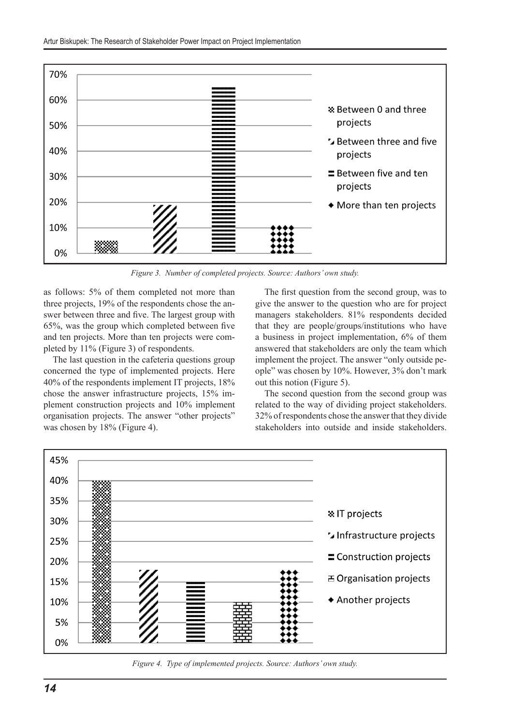

*Figure 3. Number of completed projects. Source: Authors' own study.*

as follows: 5% of them completed not more than three projects, 19% of the respondents chose the answer between three and five. The largest group with 65%, was the group which completed between five and ten projects. More than ten projects were completed by 11% (Figure 3) of respondents.

The last question in the cafeteria questions group concerned the type of implemented projects. Here 40% of the respondents implement IT projects, 18% chose the answer infrastructure projects, 15% implement construction projects and 10% implement organisation projects. The answer "other projects" was chosen by 18% (Figure 4).

The first question from the second group, was to give the answer to the question who are for project managers stakeholders. 81% respondents decided that they are people/groups/institutions who have a business in project implementation, 6% of them answered that stakeholders are only the team which implement the project. The answer "only outside people" was chosen by 10%. However, 3% don't mark out this notion (Figure 5).

The second question from the second group was related to the way of dividing project stakeholders. 32% of respondents chose the answer that they divide stakeholders into outside and inside stakeholders.



*Figure 4. Type of implemented projects. Source: Authors' own study.*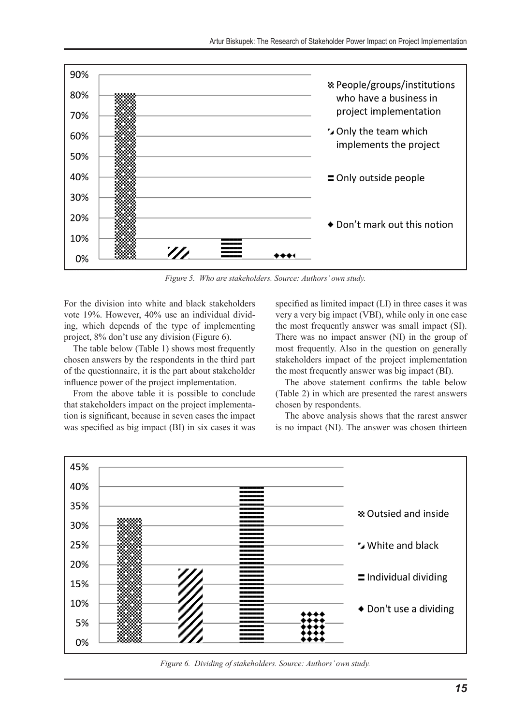

*Figure 5. Who are stakeholders. Source: Authors' own study.*

For the division into white and black stakeholders vote 19%. However, 40% use an individual dividing, which depends of the type of implementing project, 8% don't use any division (Figure 6).

The table below (Table 1) shows most frequently chosen answers by the respondents in the third part of the questionnaire, it is the part about stakeholder influence power of the project implementation.

From the above table it is possible to conclude that stakeholders impact on the project implementation is significant, because in seven cases the impact was specified as big impact (BI) in six cases it was

specified as limited impact (LI) in three cases it was very a very big impact (VBI), while only in one case the most frequently answer was small impact (SI). There was no impact answer (NI) in the group of most frequently. Also in the question on generally stakeholders impact of the project implementation the most frequently answer was big impact (BI).

The above statement confirms the table below (Table 2) in which are presented the rarest answers chosen by respondents.

The above analysis shows that the rarest answer is no impact (NI). The answer was chosen thirteen



*Figure 6. Dividing of stakeholders. Source: Authors' own study.*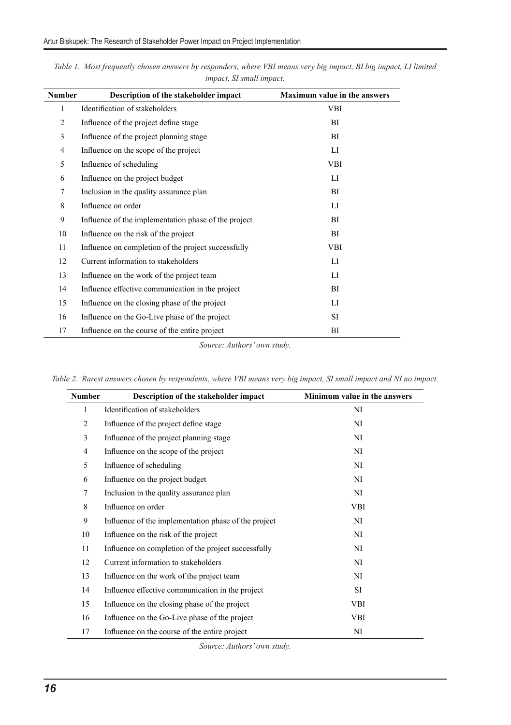| <b>Number</b> | Description of the stakeholder impact                | <b>Maximum value in the answers</b> |  |
|---------------|------------------------------------------------------|-------------------------------------|--|
| 1             | Identification of stakeholders                       | <b>VBI</b>                          |  |
| 2             | Influence of the project define stage                | <b>BI</b>                           |  |
| 3             | Influence of the project planning stage              | <b>BI</b>                           |  |
| 4             | Influence on the scope of the project                | LI                                  |  |
| 5             | Influence of scheduling                              | VBI                                 |  |
| 6             | Influence on the project budget                      | LI                                  |  |
| 7             | Inclusion in the quality assurance plan              | BI                                  |  |
| 8             | Influence on order                                   | LI                                  |  |
| 9             | Influence of the implementation phase of the project | BI                                  |  |
| 10            | Influence on the risk of the project                 | BI                                  |  |
| 11            | Influence on completion of the project successfully  | <b>VBI</b>                          |  |
| 12            | Current information to stakeholders                  | LI                                  |  |
| 13            | Influence on the work of the project team            | LI                                  |  |
| 14            | Influence effective communication in the project     | BI                                  |  |
| 15            | Influence on the closing phase of the project        | LI                                  |  |
| 16            | Influence on the Go-Live phase of the project        | SI                                  |  |
| 17            | Influence on the course of the entire project        | ВI                                  |  |

*Table 1. Most frequently chosen answers by responders, where VBI means very big impact, BI big impact, LI limited impact, SI small impact.*

*Source: Authors' own study.*

| <b>Number</b>  | Description of the stakeholder impact                | Minimum value in the answers |
|----------------|------------------------------------------------------|------------------------------|
| 1              | Identification of stakeholders                       | N <sub>I</sub>               |
| $\overline{c}$ | Influence of the project define stage                | NI                           |
| 3              | Influence of the project planning stage              | NI                           |
| $\overline{4}$ | Influence on the scope of the project                | NI                           |
| 5              | Influence of scheduling                              | NI                           |
| 6              | Influence on the project budget                      | NI                           |
| 7              | Inclusion in the quality assurance plan              | NI                           |
| 8              | Influence on order                                   | VBI                          |
| 9              | Influence of the implementation phase of the project | NI                           |
| 10             | Influence on the risk of the project                 | N <sub>I</sub>               |
| 11             | Influence on completion of the project successfully  | N <sub>I</sub>               |
| 12             | Current information to stakeholders                  | NI                           |
| 13             | Influence on the work of the project team            | NI                           |
| 14             | Influence effective communication in the project     | SI                           |
| 15             | Influence on the closing phase of the project        | VBI                          |
| 16             | Influence on the Go-Live phase of the project        | <b>VBI</b>                   |
| 17             | Influence on the course of the entire project        | NI                           |

*Table 2. Rarest answers chosen by respondents, where VBI means very big impact, SI small impact and NI no impact.*

*Source: Authors' own study.*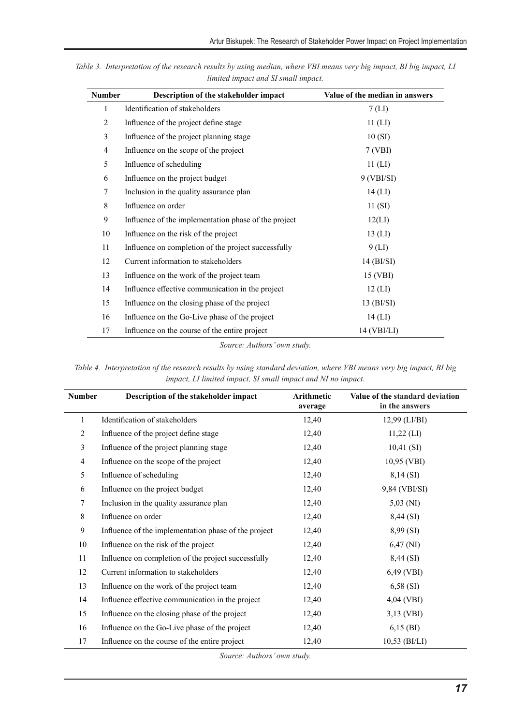| <b>Number</b>  | Description of the stakeholder impact                | Value of the median in answers |
|----------------|------------------------------------------------------|--------------------------------|
| 1              | Identification of stakeholders                       | 7(LI)                          |
| $\overline{c}$ | Influence of the project define stage                | $11$ (LI)                      |
| 3              | Influence of the project planning stage              | 10(SI)                         |
| $\overline{4}$ | Influence on the scope of the project                | 7(VBI)                         |
| 5              | Influence of scheduling                              | $11$ (LI)                      |
| 6              | Influence on the project budget                      | $9$ (VBI/SI)                   |
| $\tau$         | Inclusion in the quality assurance plan              | $14$ (LI)                      |
| 8              | Influence on order                                   | 11(SI)                         |
| 9              | Influence of the implementation phase of the project | 12(LI)                         |
| 10             | Influence on the risk of the project                 | $13$ (LI)                      |
| 11             | Influence on completion of the project successfully  | $9$ (LI)                       |
| 12             | Current information to stakeholders                  | $14$ (BI/SI)                   |
| 13             | Influence on the work of the project team            | 15 (VBI)                       |
| 14             | Influence effective communication in the project     | $12$ (LI)                      |
| 15             | Influence on the closing phase of the project        | $13$ (BI/SI)                   |
| 16             | Influence on the Go-Live phase of the project        | $14$ (LI)                      |
| 17             | Influence on the course of the entire project        | 14 (VBI/LI)                    |

*Table 3. Interpretation of the research results by using median, where VBI means very big impact, BI big impact, LI limited impact and SI small impact.*

*Source: Authors' own study.*

Table 4. Interpretation of the research results by using standard deviation, where VBI means very big impact, BI big *impact, LI limited impact, SI small impact and NI no impact.*

| <b>Number</b>  | Description of the stakeholder impact                | <b>Arithmetic</b><br>average | Value of the standard deviation<br>in the answers |
|----------------|------------------------------------------------------|------------------------------|---------------------------------------------------|
| 1              | Identification of stakeholders                       | 12,40                        | 12,99 (LI/BI)                                     |
| 2              | Influence of the project define stage                | 12,40                        | $11,22$ (LI)                                      |
| 3              | Influence of the project planning stage              | 12,40                        | 10,41(SI)                                         |
| $\overline{4}$ | Influence on the scope of the project                | 12,40                        | 10,95 (VBI)                                       |
| 5              | Influence of scheduling                              | 12,40                        | 8,14(SI)                                          |
| 6              | Influence on the project budget                      | 12,40                        | 9,84 (VBI/SI)                                     |
| 7              | Inclusion in the quality assurance plan              | 12,40                        | $5,03 \, (\text{NI})$                             |
| 8              | Influence on order                                   | 12,40                        | 8,44 (SI)                                         |
| 9              | Influence of the implementation phase of the project | 12,40                        | 8,99(SI)                                          |
| 10             | Influence on the risk of the project                 | 12,40                        | $6,47$ (NI)                                       |
| 11             | Influence on completion of the project successfully  | 12,40                        | 8,44 (SI)                                         |
| 12             | Current information to stakeholders                  | 12,40                        | $6,49$ (VBI)                                      |
| 13             | Influence on the work of the project team            | 12,40                        | 6,58(SI)                                          |
| 14             | Influence effective communication in the project     | 12,40                        | 4,04 (VBI)                                        |
| 15             | Influence on the closing phase of the project        | 12,40                        | $3,13$ (VBI)                                      |
| 16             | Influence on the Go-Live phase of the project        | 12,40                        | $6,15$ (BI)                                       |
| 17             | Influence on the course of the entire project        | 12,40                        | $10,53$ (BI/LI)                                   |

*Source: Authors' own study.*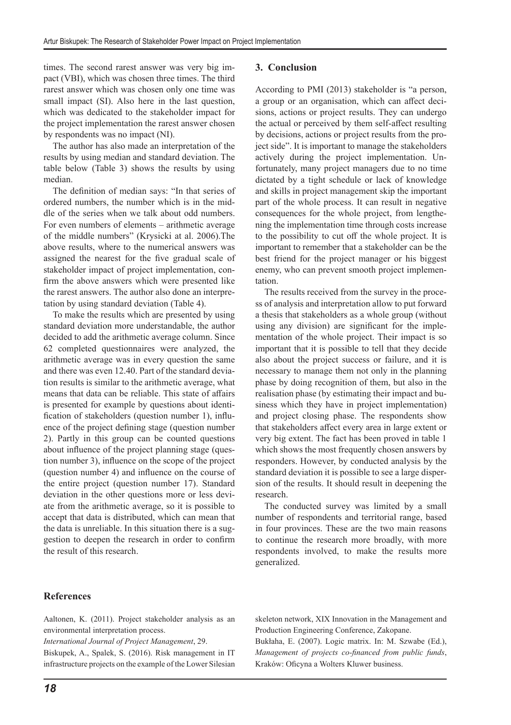times. The second rarest answer was very big impact (VBI), which was chosen three times. The third rarest answer which was chosen only one time was small impact (SI). Also here in the last question, which was dedicated to the stakeholder impact for the project implementation the rarest answer chosen by respondents was no impact (NI).

The author has also made an interpretation of the results by using median and standard deviation. The table below (Table 3) shows the results by using median.

The definition of median says: "In that series of ordered numbers, the number which is in the middle of the series when we talk about odd numbers. For even numbers of elements – arithmetic average of the middle numbers" (Krysicki at al. 2006).The above results, where to the numerical answers was assigned the nearest for the five gradual scale of stakeholder impact of project implementation, confirm the above answers which were presented like the rarest answers. The author also done an interpretation by using standard deviation (Table 4).

To make the results which are presented by using standard deviation more understandable, the author decided to add the arithmetic average column. Since 62 completed questionnaires were analyzed, the arithmetic average was in every question the same and there was even 12.40. Part of the standard deviation results is similar to the arithmetic average, what means that data can be reliable. This state of affairs is presented for example by questions about identification of stakeholders (question number 1), influence of the project defining stage (question number 2). Partly in this group can be counted questions about influence of the project planning stage (question number 3), influence on the scope of the project (question number 4) and influence on the course of the entire project (question number 17). Standard deviation in the other questions more or less deviate from the arithmetic average, so it is possible to accept that data is distributed, which can mean that the data is unreliable. In this situation there is a suggestion to deepen the research in order to confirm the result of this research.

#### **3. Conclusion**

According to PMI (2013) stakeholder is "a person, a group or an organisation, which can affect decisions, actions or project results. They can undergo the actual or perceived by them self-affect resulting by decisions, actions or project results from the project side". It is important to manage the stakeholders actively during the project implementation. Unfortunately, many project managers due to no time dictated by a tight schedule or lack of knowledge and skills in project management skip the important part of the whole process. It can result in negative consequences for the whole project, from lengthening the implementation time through costs increase to the possibility to cut off the whole project. It is important to remember that a stakeholder can be the best friend for the project manager or his biggest enemy, who can prevent smooth project implementation.

The results received from the survey in the process of analysis and interpretation allow to put forward a thesis that stakeholders as a whole group (without using any division) are significant for the implementation of the whole project. Their impact is so important that it is possible to tell that they decide also about the project success or failure, and it is necessary to manage them not only in the planning phase by doing recognition of them, but also in the realisation phase (by estimating their impact and business which they have in project implementation) and project closing phase. The respondents show that stakeholders affect every area in large extent or very big extent. The fact has been proved in table 1 which shows the most frequently chosen answers by responders. However, by conducted analysis by the standard deviation it is possible to see a large dispersion of the results. It should result in deepening the research.

The conducted survey was limited by a small number of respondents and territorial range, based in four provinces. These are the two main reasons to continue the research more broadly, with more respondents involved, to make the results more generalized.

# **References**

Aaltonen, K. (2011). Project stakeholder analysis as an environmental interpretation process.

*International Journal of Project Management*, 29.

Biskupek, A., Spalek, S. (2016). Risk management in IT infrastructure projects on the example of the Lower Silesian skeleton network, XIX Innovation in the Management and Production Engineering Conference, Zakopane.

Bukłaha, E. (2007). Logic matrix. In: M. Szwabe (Ed.), *Management of projects co-financed from public funds*, Kraków: Oficyna a Wolters Kluwer business.